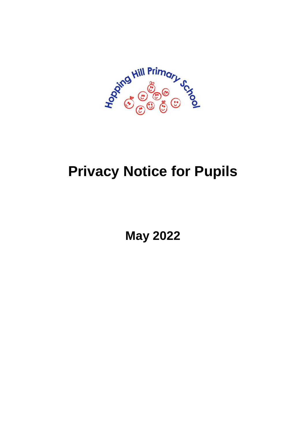

# **Privacy Notice for Pupils**

**May 2022**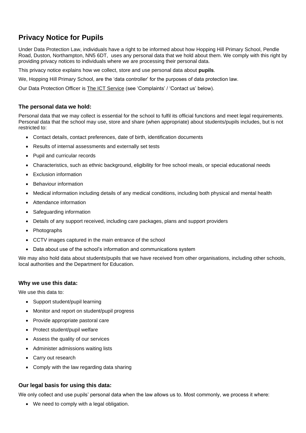# **Privacy Notice for Pupils**

Under Data Protection Law, individuals have a right to be informed about how Hopping Hill Primary School, Pendle Road, Duston, Northampton, NN5 6DT, uses any personal data that we hold about them. We comply with this right by providing privacy notices to individuals where we are processing their personal data.

This privacy notice explains how we collect, store and use personal data about **pupils**.

We, Hopping Hill Primary School, are the 'data controller' for the purposes of data protection law.

Our Data Protection Officer is **[The ICT Service](https://theictservice.org.uk/service/gdpr-dpo-service/)** (see 'Complaints' / 'Contact us' below).

## **The personal data we hold:**

Personal data that we may collect is essential for the school to fulfil its official functions and meet legal requirements. Personal data that the school may use, store and share (when appropriate) about students/pupils includes, but is not restricted to:

- Contact details, contact preferences, date of birth, identification documents
- Results of internal assessments and externally set tests
- Pupil and curricular records
- Characteristics, such as ethnic background, eligibility for free school meals, or special educational needs
- **Exclusion information**
- **Behaviour information**
- Medical information including details of any medical conditions, including both physical and mental health
- Attendance information
- Safeguarding information
- Details of any support received, including care packages, plans and support providers
- Photographs
- CCTV images captured in the main entrance of the school
- Data about use of the school's information and communications system

We may also hold data about students/pupils that we have received from other organisations, including other schools, local authorities and the Department for Education.

#### **Why we use this data:**

We use this data to:

- Support student/pupil learning
- Monitor and report on student/pupil progress
- Provide appropriate pastoral care
- Protect student/pupil welfare
- Assess the quality of our services
- Administer admissions waiting lists
- Carry out research
- Comply with the law regarding data sharing

#### **Our legal basis for using this data:**

We only collect and use pupils' personal data when the law allows us to. Most commonly, we process it where:

• We need to comply with a legal obligation.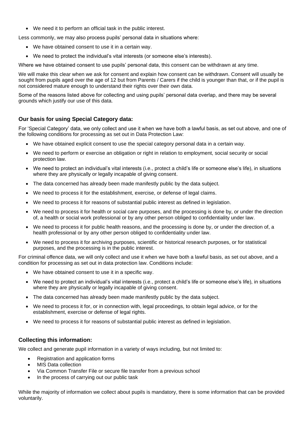• We need it to perform an official task in the public interest.

Less commonly, we may also process pupils' personal data in situations where:

- We have obtained consent to use it in a certain way.
- We need to protect the individual's vital interests (or someone else's interests).

Where we have obtained consent to use pupils' personal data, this consent can be withdrawn at any time.

We will make this clear when we ask for consent and explain how consent can be withdrawn. Consent will usually be sought from pupils aged over the age of 12 but from Parents / Carers if the child is younger than that, or if the pupil is not considered mature enough to understand their rights over their own data.

Some of the reasons listed above for collecting and using pupils' personal data overlap, and there may be several grounds which justify our use of this data.

# **Our basis for using Special Category data:**

For 'Special Category' data, we only collect and use it when we have both a lawful basis, as set out above, and one of the following conditions for processing as set out in Data Protection Law:

- We have obtained explicit consent to use the special category personal data in a certain way.
- We need to perform or exercise an obligation or right in relation to employment, social security or social protection law.
- We need to protect an individual's vital interests (i.e., protect a child's life or someone else's life), in situations where they are physically or legally incapable of giving consent.
- The data concerned has already been made manifestly public by the data subject.
- We need to process it for the establishment, exercise, or defense of legal claims.
- We need to process it for reasons of substantial public interest as defined in legislation.
- We need to process it for health or social care purposes, and the processing is done by, or under the direction of, a health or social work professional or by any other person obliged to confidentiality under law.
- We need to process it for public health reasons, and the processing is done by, or under the direction of, a health professional or by any other person obliged to confidentiality under law.
- We need to process it for archiving purposes, scientific or historical research purposes, or for statistical purposes, and the processing is in the public interest.

For criminal offence data, we will only collect and use it when we have both a lawful basis, as set out above, and a condition for processing as set out in data protection law. Conditions include:

- We have obtained consent to use it in a specific way.
- We need to protect an individual's vital interests (i.e., protect a child's life or someone else's life), in situations where they are physically or legally incapable of giving consent.
- The data concerned has already been made manifestly public by the data subject.
- We need to process it for, or in connection with, legal proceedings, to obtain legal advice, or for the establishment, exercise or defense of legal rights.
- We need to process it for reasons of substantial public interest as defined in legislation.

# **Collecting this information:**

We collect and generate pupil information in a variety of ways including, but not limited to:

- Registration and application forms
- MIS Data collection
- Via Common Transfer File or secure file transfer from a previous school
- In the process of carrying out our public task

While the majority of information we collect about pupils is mandatory, there is some information that can be provided voluntarily.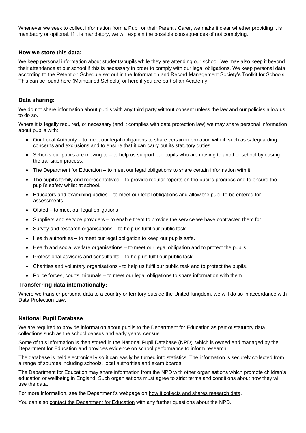Whenever we seek to collect information from a Pupil or their Parent / Carer, we make it clear whether providing it is mandatory or optional. If it is mandatory, we will explain the possible consequences of not complying.

#### **How we store this data:**

We keep personal information about students/pupils while they are attending our school. We may also keep it beyond their attendance at our school if this is necessary in order to comply with our legal obligations. We keep personal data according to the Retention Schedule set out in the Information and Record Management Society's Toolkit for Schools. This can be found [here](https://irms.org.uk/page/AcademiesToolkit) (Maintained Schools) or here if you are part of an Academy.

#### **Data sharing:**

We do not share information about pupils with any third party without consent unless the law and our policies allow us to do so.

Where it is legally required, or necessary (and it complies with data protection law) we may share personal information about pupils with:

- Our Local Authority to meet our legal obligations to share certain information with it, such as safeguarding concerns and exclusions and to ensure that it can carry out its statutory duties.
- Schools our pupils are moving to to help us support our pupils who are moving to another school by easing the transition process.
- The Department for Education to meet our legal obligations to share certain information with it.
- The pupil's family and representatives to provide regular reports on the pupil's progress and to ensure the pupil's safety whilst at school.
- Educators and examining bodies to meet our legal obligations and allow the pupil to be entered for assessments.
- Ofsted to meet our legal obligations.
- Suppliers and service providers to enable them to provide the service we have contracted them for.
- Survey and research organisations to help us fulfil our public task.
- Health authorities to meet our legal obligation to keep our pupils safe.
- Health and social welfare organisations to meet our legal obligation and to protect the pupils.
- Professional advisers and consultants to help us fulfil our public task.
- Charities and voluntary organisations to help us fulfil our public task and to protect the pupils.
- Police forces, courts, tribunals to meet our legal obligations to share information with them.

#### **Transferring data internationally:**

Where we transfer personal data to a country or territory outside the United Kingdom, we will do so in accordance with Data Protection Law.

#### **National Pupil Database**

We are required to provide information about pupils to the Department for Education as part of statutory data collections such as the school census and early years' census.

Some of this information is then stored in the [National Pupil Database](https://www.gov.uk/government/publications/national-pupil-database-user-guide-and-supporting-information) (NPD), which is owned and managed by the Department for Education and provides evidence on school performance to inform research.

The database is held electronically so it can easily be turned into statistics. The information is securely collected from a range of sources including schools, local authorities and exam boards.

The Department for Education may share information from the NPD with other organisations which promote children's education or wellbeing in England. Such organisations must agree to strict terms and conditions about how they will use the data.

For more information, see the Department's webpage on [how it collects and shares research data.](https://www.gov.uk/data-protection-how-we-collect-and-share-research-data)

You can also [contact the Department for Education](https://www.gov.uk/contact-dfe) with any further questions about the NPD.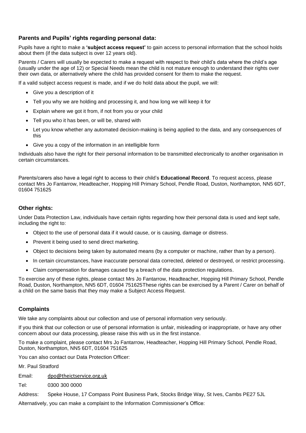# **Parents and Pupils' rights regarding personal data:**

Pupils have a right to make a **'subject access request'** to gain access to personal information that the school holds about them (if the data subject is over 12 years old).

Parents / Carers will usually be expected to make a request with respect to their child's data where the child's age (usually under the age of 12) or Special Needs mean the child is not mature enough to understand their rights over their own data, or alternatively where the child has provided consent for them to make the request.

If a valid subject access request is made, and if we do hold data about the pupil, we will:

- Give you a description of it
- Tell you why we are holding and processing it, and how long we will keep it for
- Explain where we got it from, if not from you or your child
- Tell you who it has been, or will be, shared with
- Let you know whether any automated decision-making is being applied to the data, and any consequences of this
- Give you a copy of the information in an intelligible form

Individuals also have the right for their personal information to be transmitted electronically to another organisation in certain circumstances.

Parents/carers also have a legal right to access to their child's **Educational Record**. To request access, please contact Mrs Jo Fantarrow, Headteacher, Hopping Hill Primary School, Pendle Road, Duston, Northampton, NN5 6DT, 01604 751625

## **Other rights:**

Under Data Protection Law, individuals have certain rights regarding how their personal data is used and kept safe, including the right to:

- Object to the use of personal data if it would cause, or is causing, damage or distress.
- Prevent it being used to send direct marketing.
- Object to decisions being taken by automated means (by a computer or machine, rather than by a person).
- In certain circumstances, have inaccurate personal data corrected, deleted or destroyed, or restrict processing.
- Claim compensation for damages caused by a breach of the data protection regulations.

To exercise any of these rights, please contact Mrs Jo Fantarrow, Headteacher, Hopping Hill Primary School, Pendle Road, Duston, Northampton, NN5 6DT, 01604 751625These rights can be exercised by a Parent / Carer on behalf of a child on the same basis that they may make a Subject Access Request.

# **Complaints**

We take any complaints about our collection and use of personal information very seriously.

If you think that our collection or use of personal information is unfair, misleading or inappropriate, or have any other concern about our data processing, please raise this with us in the first instance.

To make a complaint, please contact Mrs Jo Fantarrow, Headteacher, Hopping Hill Primary School, Pendle Road, Duston, Northampton, NN5 6DT, 01604 751625

You can also contact our Data Protection Officer:

Mr. Paul Stratford

Email: [dpo@theictservice.org.uk](mailto:dpo@theictservice.org.uk)

Tel: 0300 300 0000

Address: Speke House, 17 Compass Point Business Park, Stocks Bridge Way, St Ives, Cambs PE27 5JL

Alternatively, you can make a complaint to the Information Commissioner's Office: